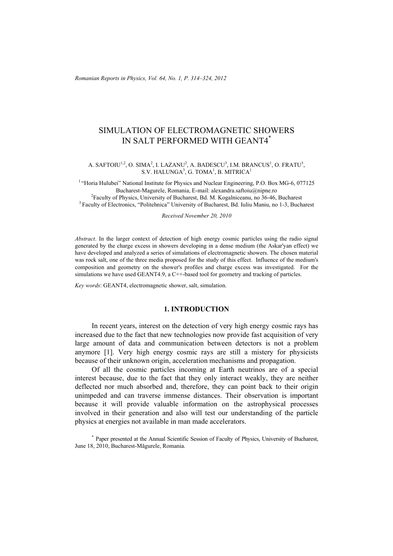*Romanian Reports in Physics, Vol. 64, No. 1, P. 314–324, 2012*

# SIMULATION OF ELECTROMAGNETIC SHOWERS IN SALT PERFORMED WITH GEANT4\*

#### A. SAFTOIU<sup>1,2</sup>, O. SIMA<sup>2</sup>, I. LAZANU<sup>2</sup>, A. BADESCU<sup>3</sup>, I.M. BRANCUS<sup>1</sup>, O. FRATU<sup>3</sup>,  $S.V. HALUNGA<sup>3</sup>, G. TOMA<sup>1</sup>, B. MITRICA<sup>1</sup>$

<sup>1</sup> "Horia Hulubei" National Institute for Physics and Nuclear Engineering, P.O. Box MG-6, 077125 Bucharest-Magurele, Romania, E-mail: alexandra.saftoiu@nipne.ro

<sup>2</sup>Faculty of Physics, University of Bucharest, Bd. M. Kogalniceanu, no 36-46, Bucharest <sup>3</sup> Faculty of Electronics, "Politehnica" University of Bucharest, Bd. Iuliu Maniu, no 1-3, Bucharest

*Received November 20, 2010* 

*Abstract*. In the larger context of detection of high energy cosmic particles using the radio signal generated by the charge excess in showers developing in a dense medium (the Askar'yan effect) we have developed and analyzed a series of simulations of electromagnetic showers. The chosen material was rock salt, one of the three media proposed for the study of this effect. Influence of the medium's composition and geometry on the shower's profiles and charge excess was investigated. For the simulations we have used GEANT4.9, a  $C_{\text{++}}$ -based tool for geometry and tracking of particles.

*Key words*: GEANT4, electromagnetic shower, salt, simulation.

# **1. INTRODUCTION**

In recent years, interest on the detection of very high energy cosmic rays has increased due to the fact that new technologies now provide fast acquisition of very large amount of data and communication between detectors is not a problem anymore [1]. Very high energy cosmic rays are still a mistery for physicists because of their unknown origin, acceleration mechanisms and propagation.

Of all the cosmic particles incoming at Earth neutrinos are of a special interest because, due to the fact that they only interact weakly, they are neither deflected nor much absorbed and, therefore, they can point back to their origin unimpeded and can traverse immense distances. Their observation is important because it will provide valuable information on the astrophysical processes involved in their generation and also will test our understanding of the particle physics at energies not available in man made accelerators.

\* Paper presented at the Annual Scientific Session of Faculty of Physics, University of Bucharest, June 18, 2010, Bucharest-Măgurele, Romania.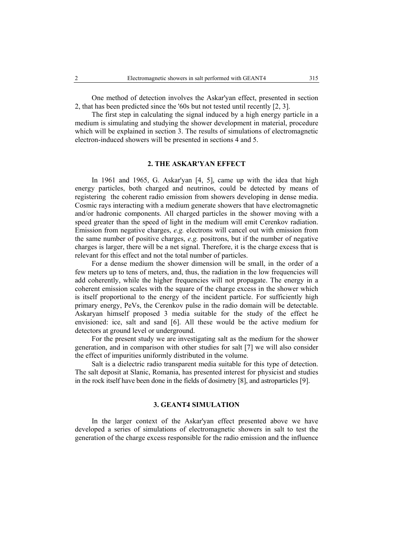One method of detection involves the Askar'yan effect, presented in section 2, that has been predicted since the '60s but not tested until recently [2, 3].

The first step in calculating the signal induced by a high energy particle in a medium is simulating and studying the shower development in material, procedure which will be explained in section 3. The results of simulations of electromagnetic electron-induced showers will be presented in sections 4 and 5.

### **2. THE ASKAR'YAN EFFECT**

In 1961 and 1965, G. Askar'yan [4, 5], came up with the idea that high energy particles, both charged and neutrinos, could be detected by means of registering the coherent radio emission from showers developing in dense media. Cosmic rays interacting with a medium generate showers that have electromagnetic and/or hadronic components. All charged particles in the shower moving with a speed greater than the speed of light in the medium will emit Cerenkov radiation. Emission from negative charges, *e.g.* electrons will cancel out with emission from the same number of positive charges, *e.g.* positrons, but if the number of negative charges is larger, there will be a net signal. Therefore, it is the charge excess that is relevant for this effect and not the total number of particles.

For a dense medium the shower dimension will be small, in the order of a few meters up to tens of meters, and, thus, the radiation in the low frequencies will add coherently, while the higher frequencies will not propagate. The energy in a coherent emission scales with the square of the charge excess in the shower which is itself proportional to the energy of the incident particle. For sufficiently high primary energy, PeVs, the Cerenkov pulse in the radio domain will be detectable. Askaryan himself proposed 3 media suitable for the study of the effect he envisioned: ice, salt and sand [6]. All these would be the active medium for detectors at ground level or underground.

For the present study we are investigating salt as the medium for the shower generation, and in comparison with other studies for salt [7] we will also consider the effect of impurities uniformly distributed in the volume.

Salt is a dielectric radio transparent media suitable for this type of detection. The salt deposit at Slanic, Romania, has presented interest for physicist and studies in the rock itself have been done in the fields of dosimetry [8], and astroparticles [9].

### **3. GEANT4 SIMULATION**

In the larger context of the Askar'yan effect presented above we have developed a series of simulations of electromagnetic showers in salt to test the generation of the charge excess responsible for the radio emission and the influence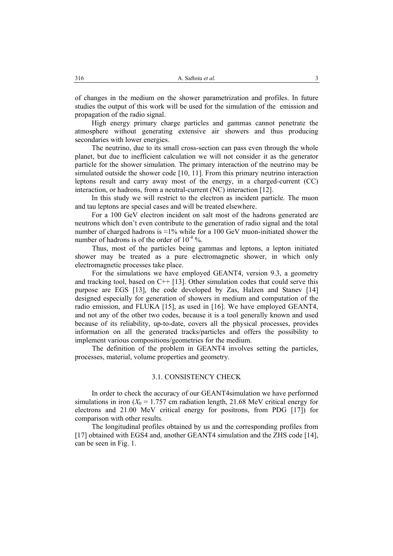of changes in the medium on the shower parametrization and profiles. In future studies the output of this work will be used for the simulation of the emission and propagation of the radio signal.

High energy primary charge particles and gammas cannot penetrate the atmosphere without generating extensive air showers and thus producing secondaries with lower energies.

The neutrino, due to its small cross-section can pass even through the whole planet, but due to inefficient calculation we will not consider it as the generator particle for the shower simulation. The primary interaction of the neutrino may be simulated outside the shower code [10, 11]. From this primary neutrino interaction leptons result and carry away most of the energy, in a charged-current (CC) interaction, or hadrons, from a neutral-current (NC) interaction [12].

In this study we will restrict to the electron as incident particle. The muon and tau leptons are special cases and will be treated elsewhere.

For a 100 GeV electron incident on salt most of the hadrons generated are neutrons which don't even contribute to the generation of radio signal and the total number of charged hadrons is ≈1% while for a 100 GeV muon-initiated shower the number of hadrons is of the order of  $10^{-4}$ %.

Thus, most of the particles being gammas and leptons, a lepton initiated shower may be treated as a pure electromagnetic shower, in which only electromagnetic processes take place.

For the simulations we have employed GEANT4, version 9.3, a geometry and tracking tool, based on  $C++$  [13]. Other simulation codes that could serve this purpose are EGS [13], the code developed by Zas, Halzen and Stanev [14] designed especially for generation of showers in medium and computation of the radio emission, and FLUKA [15], as used in [16]. We have employed GEANT4, and not any of the other two codes, because it is a tool generally known and used because of its reliability, up-to-date, covers all the physical processes, provides information on all the generated tracks/particles and offers the possibility to implement various compositions/geometries for the medium.

The definition of the problem in GEANT4 involves setting the particles, processes, material, volume properties and geometry.

### 3.1. CONSISTENCY CHECK

In order to check the accuracy of our GEANT4simulation we have performed simulations in iron  $(X_0 = 1.757$  cm radiation length, 21.68 MeV critical energy for electrons and 21.00 MeV critical energy for positrons, from PDG [17]) for comparison with other results.

The longitudinal profiles obtained by us and the corresponding profiles from [17] obtained with EGS4 and, another GEANT4 simulation and the ZHS code [14], can be seen in Fig. 1.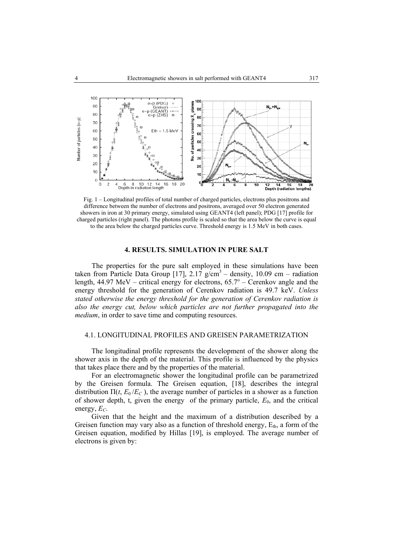

Fig. 1 – Longitudinal profiles of total number of charged particles, electrons plus positrons and difference between the number of electrons and positrons, averaged over 50 electron generated showers in iron at 30 primary energy, simulated using GEANT4 (left panel); PDG [17] profile for charged particles (right panel). The photons profile is scaled so that the area below the curve is equal to the area below the charged particles curve. Threshold energy is 1.5 MeV in both cases.

## **4. RESULTS. SIMULATION IN PURE SALT**

The properties for the pure salt employed in these simulations have been taken from Particle Data Group [17],  $2.17$  g/cm<sup>3</sup> – density, 10.09 cm – radiation length, 44.97 MeV – critical energy for electrons,  $65.7^{\circ}$  – Cerenkov angle and the energy threshold for the generation of Cerenkov radiation is 49.7 keV. *Unless stated otherwise the energy threshold for the generation of Cerenkov radiation is also the energy cut, below which particles are not further propagated into the medium*, in order to save time and computing resources.

#### 4.1. LONGITUDINAL PROFILES AND GREISEN PARAMETRIZATION

The longitudinal profile represents the development of the shower along the shower axis in the depth of the material. This profile is influenced by the physics that takes place there and by the properties of the material.

For an electromagnetic shower the longitudinal profile can be parametrized by the Greisen formula. The Greisen equation, [18], describes the integral distribution  $\Pi(t, E_0/E_C)$ , the average number of particles in a shower as a function of shower depth, t, given the energy of the primary particle, *E*0, and the critical energy,  $E_C$ .

Given that the height and the maximum of a distribution described by a Greisen function may vary also as a function of threshold energy,  $E_{th}$ , a form of the Greisen equation, modified by Hillas [19], is employed. The average number of electrons is given by: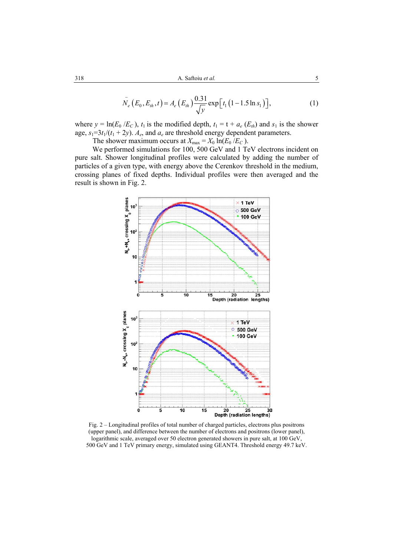$$
\bar{N}_e(E_0, E_{th}, t) = A_e(E_{th}) \frac{0.31}{\sqrt{y}} \exp[t_1 (1 - 1.5 \ln s_1)],
$$
\n(1)

where  $y = \ln(E_0/E_C)$ ,  $t_1$  is the modified depth,  $t_1 = t + a_e (E<sub>th</sub>)$  and  $s_1$  is the shower age,  $s_1=3t_1/(t_1+2y)$ .  $A_e$ , and  $a_e$  are threshold energy dependent parameters.

The shower maximum occurs at  $X_{\text{max}} = X_0 \ln(E_0 / E_C)$ .

We performed simulations for 100, 500 GeV and 1 TeV electrons incident on pure salt. Shower longitudinal profiles were calculated by adding the number of particles of a given type, with energy above the Cerenkov threshold in the medium, crossing planes of fixed depths. Individual profiles were then averaged and the result is shown in Fig. 2.



Fig. 2 – Longitudinal profiles of total number of charged particles, electrons plus positrons (upper panel), and difference between the number of electrons and positrons (lower panel), logarithmic scale, averaged over 50 electron generated showers in pure salt, at 100 GeV, 500 GeV and 1 TeV primary energy, simulated using GEANT4. Threshold energy 49.7 keV.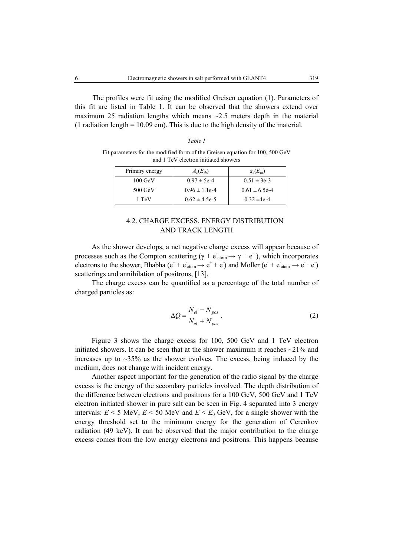The profiles were fit using the modified Greisen equation (1). Parameters of this fit are listed in Table 1. It can be observed that the showers extend over maximum 25 radiation lengths which means  $\sim$ 2.5 meters depth in the material (1 radiation length  $= 10.09$  cm). This is due to the high density of the material.

Fit parameters for the modified form of the Greisen equation for 100, 500 GeV and 1 TeV electron initiated showers

| Primary energy    | $A_e(E_{th})$        | $a_e(E_{th})$     |
|-------------------|----------------------|-------------------|
| $100 \text{ GeV}$ | $0.97 \pm 5e-4$      | $0.51 \pm 3e-3$   |
| $500$ GeV         | $0.96 \pm 1.1e-4$    | $0.61 \pm 6.5e-4$ |
| 1 TeV             | $0.62 \pm 4.5e^{-5}$ | $0.32 \pm 4e-4$   |

# 4.2. CHARGE EXCESS, ENERGY DISTRIBUTION AND TRACK LENGTH

As the shower develops, a net negative charge excess will appear because of processes such as the Compton scattering ( $\gamma + e_{atom} \rightarrow \gamma + e_{}$ ), which incorporates electrons to the shower, Bhabha ( $e^+ + e^-$ <sub>atom</sub>  $\rightarrow e^+ + e^-$ ) and Moller ( $e^- + e^-$ <sub>atom</sub>  $\rightarrow e^- + e^-$ ) scatterings and annihilation of positrons, [13].

The charge excess can be quantified as a percentage of the total number of charged particles as:

$$
\Delta Q = \frac{N_{el} - N_{pos}}{N_{el} + N_{pos}}.\tag{2}
$$

Figure 3 shows the charge excess for 100, 500 GeV and 1 TeV electron initiated showers. It can be seen that at the shower maximum it reaches  $\sim$ 21% and increases up to  $\sim$ 35% as the shower evolves. The excess, being induced by the medium, does not change with incident energy.

Another aspect important for the generation of the radio signal by the charge excess is the energy of the secondary particles involved. The depth distribution of the difference between electrons and positrons for a 100 GeV, 500 GeV and 1 TeV electron initiated shower in pure salt can be seen in Fig. 4 separated into 3 energy intervals:  $E \le 5$  MeV,  $E \le 50$  MeV and  $E \le E_0$  GeV, for a single shower with the energy threshold set to the minimum energy for the generation of Cerenkov radiation (49 keV). It can be observed that the major contribution to the charge excess comes from the low energy electrons and positrons. This happens because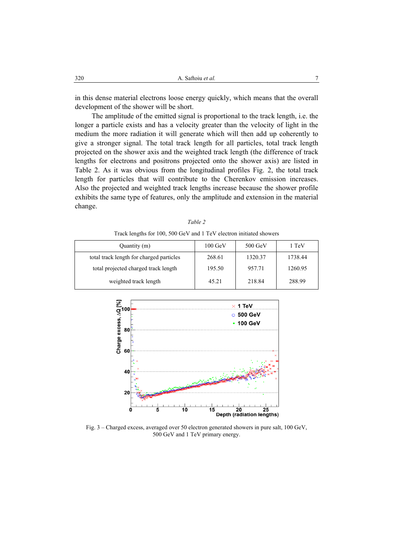in this dense material electrons loose energy quickly, which means that the overall development of the shower will be short.

The amplitude of the emitted signal is proportional to the track length, i.e. the longer a particle exists and has a velocity greater than the velocity of light in the medium the more radiation it will generate which will then add up coherently to give a stronger signal. The total track length for all particles, total track length projected on the shower axis and the weighted track length (the difference of track lengths for electrons and positrons projected onto the shower axis) are listed in Table 2. As it was obvious from the longitudinal profiles Fig. 2, the total track length for particles that will contribute to the Cherenkov emission increases. Also the projected and weighted track lengths increase because the shower profile exhibits the same type of features, only the amplitude and extension in the material change.

| Table 2                                                             |
|---------------------------------------------------------------------|
| Track lengths for 100, 500 GeV and 1 TeV electron initiated showers |

| Quantity (m)                             | $100 \text{ GeV}$ | $500$ GeV | 1 TeV   |
|------------------------------------------|-------------------|-----------|---------|
| total track length for charged particles | 268.61            | 1320.37   | 1738.44 |
| total projected charged track length     | 195.50            | 957.71    | 1260.95 |
| weighted track length                    | 45.21             | 218.84    | 288.99  |



Fig. 3 – Charged excess, averaged over 50 electron generated showers in pure salt, 100 GeV, 500 GeV and 1 TeV primary energy.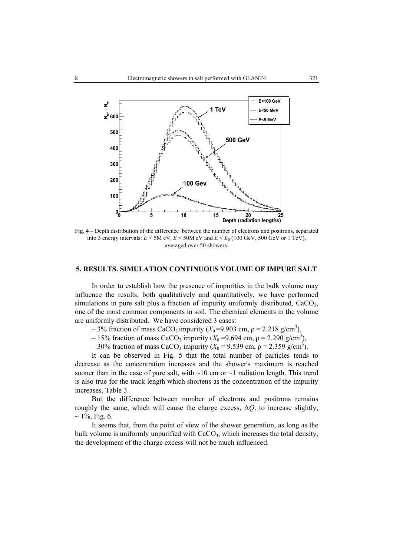

Fig. 4 – Depth distribution of the difference between the number of electrons and positrons, separated into 3 energy intervals:  $E \le 5M$  eV,  $E \le 50M$  eV and  $E \le E_0$  (100 GeV, 500 GeV or 1 TeV), averaged over 50 showers.

#### **5. RESULTS. SIMULATION CONTINUOUS VOLUME OF IMPURE SALT**

In order to establish how the presence of impurities in the bulk volume may influence the results, both qualitatively and quantitatively, we have performed simulations in pure salt plus a fraction of impurity uniformly distributed,  $CaCO<sub>3</sub>$ , one of the most common components in soil. The chemical elements in the volume are uniformly distributed. We have considered 3 cases:

 $-3\%$  fraction of mass CaCO<sub>3</sub> impurity ( $X_0$ =9.903 cm,  $\rho$  = 2.218 g/cm<sup>3</sup>),

 $-15%$  fraction of mass CaCO<sub>3</sub> impurity (*X*<sub>0</sub> = 9.694 cm, ρ = 2.290 g/cm<sup>3</sup>),

 $-30\%$  fraction of mass CaCO<sub>3</sub> impurity ( $X_0 = 9.539$  cm,  $\rho = 2.359$  g/cm<sup>3</sup>).

It can be observed in Fig. 5 that the total number of particles tends to decrease as the concentration increases and the shower's maximum is reached sooner than in the case of pure salt, with  $\sim$ 10 cm or  $\sim$ 1 radiation length. This trend is also true for the track length which shortens as the concentration of the impurity increases, Table 3.

But the difference between number of electrons and positrons remains roughly the same, which will cause the charge excess, ∆*Q*, to increase slightly,  $\sim$  1%, Fig. 6.

It seems that, from the point of view of the shower generation, as long as the bulk volume is uniformly unpurified with CaCO<sub>3</sub>, which increases the total density, the development of the charge excess will not be much influenced.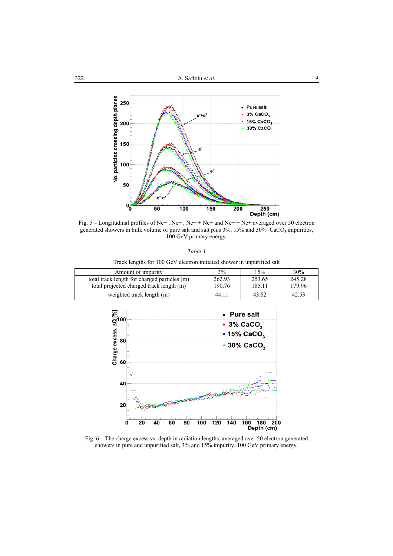

Fig. 5 – Longitudinal profiles of Ne− , Ne+ , Ne− + Ne+ and Ne− − Ne+ averaged over 50 electron generated showers in bulk volume of pure salt and salt plus  $3\%$ ,  $15\%$  and  $30\%$  CaCO<sub>3</sub> impurities, 100 GeV primary energy.

|--|--|

Track lengths for 100 GeV electron initiated shower in unpurified salt

| Amount of impurity                           | 3%     | 15%    | 30%    |
|----------------------------------------------|--------|--------|--------|
| total track length for charged particles (m) | 262.93 | 253.65 | 245.28 |
| total projected charged track length (m)     | 190.76 | 185.11 | 179.96 |
| weighted track length (m)                    | 44 11  | 43.82  | 42.53  |



Fig. 6 – The charge excess vs. depth in radiation lengths, averaged over 50 electron generated showers in pure and unpurified salt, 3% and 15% impurity, 100 GeV primary energy.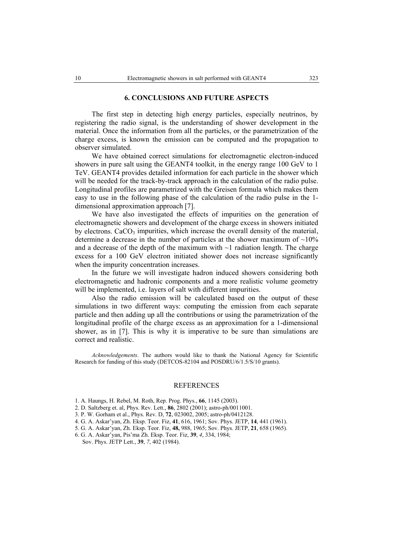### **6. CONCLUSIONS AND FUTURE ASPECTS**

 The first step in detecting high energy particles, especially neutrinos, by registering the radio signal, is the understanding of shower development in the material. Once the information from all the particles, or the parametrization of the charge excess, is known the emission can be computed and the propagation to observer simulated.

 We have obtained correct simulations for electromagnetic electron-induced showers in pure salt using the GEANT4 toolkit, in the energy range 100 GeV to 1 TeV. GEANT4 provides detailed information for each particle in the shower which will be needed for the track-by-track approach in the calculation of the radio pulse. Longitudinal profiles are parametrized with the Greisen formula which makes them easy to use in the following phase of the calculation of the radio pulse in the 1 dimensional approximation approach [7].

 We have also investigated the effects of impurities on the generation of electromagnetic showers and development of the charge excess in showers initiated by electrons.  $CaCO<sub>3</sub>$  impurities, which increase the overall density of the material, determine a decrease in the number of particles at the shower maximum of  $\sim10\%$ and a decrease of the depth of the maximum with  $\sim$ 1 radiation length. The charge excess for a 100 GeV electron initiated shower does not increase significantly when the impurity concentration increases.

 In the future we will investigate hadron induced showers considering both electromagnetic and hadronic components and a more realistic volume geometry will be implemented, *i.e.* layers of salt with different impurities.

 Also the radio emission will be calculated based on the output of these simulations in two different ways: computing the emission from each separate particle and then adding up all the contributions or using the parametrization of the longitudinal profile of the charge excess as an approximation for a 1-dimensional shower, as in [7]. This is why it is imperative to be sure than simulations are correct and realistic.

*Acknowledgements*. The authors would like to thank the National Agency for Scientific Research for funding of this study (DETCOS-82104 and POSDRU/6/1.5/S/10 grants).

### **REFERENCES**

- 1. A. Haungs, H. Rebel, M. Roth, Rep. Prog. Phys., **66**, 1145 (2003).
- 2. D. Saltzberg et. al, Phys. Rev. Lett., **86**, 2802 (2001); astro-ph/0011001.
- 3. P. W. Gorham et al., Phys. Rev. D, **72**, 023002, 2005; astro-ph/0412128.
- 4. G. A. Askar'yan, Zh. Eksp. Teor. Fiz, **41**, 616, 1961; Sov. Phys. JETP, **14**, 441 (1961).
- 5. G. A. Askar'yan, Zh. Eksp. Teor. Fiz, **48,** 988, 1965; Sov. Phys. JETP, **21**, 658 (1965).

6. G. A. Askar'yan, Pis'ma Zh. Eksp. Teor. Fiz, **39**, *4*, 334, 1984; Sov. Phys. JETP Lett., **39**, *7*, 402 (1984).